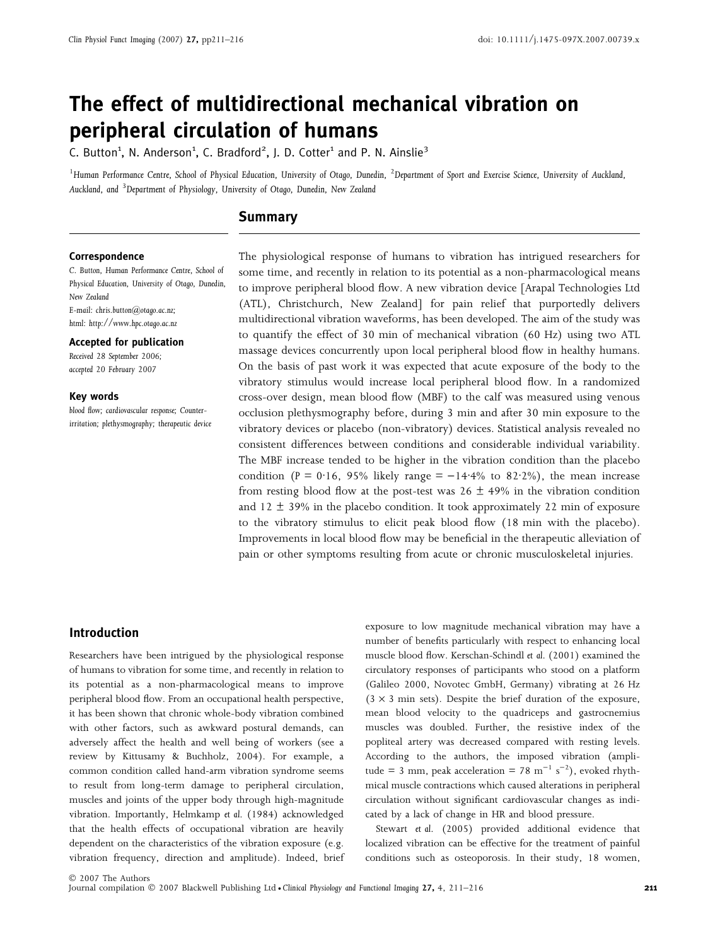# The effect of multidirectional mechanical vibration on peripheral circulation of humans

C. Button<sup>1</sup>, N. Anderson<sup>1</sup>, C. Bradford<sup>2</sup>, J. D. Cotter<sup>1</sup> and P. N. Ainslie<sup>3</sup>

 $^1$ Human Performance Centre, School of Physical Education, University of Otago, Dunedin,  $^2$ Department of Sport and Exercise Science, University of Auckland, Auckland, and <sup>3</sup>Department of Physiology, University of Otago, Dunedin, New Zealand

# **Summary**

#### Correspondence

C. Button, Human Performance Centre, School of Physical Education, University of Otago, Dunedin, New Zealand E-mail: chris.button@otago.ac.nz; html: http://www.hpc.otago.ac.nz

Accepted for publication

Received 28 September 2006; accepted 20 February 2007

Key words

blood flow; cardiovascular response; Counterirritation; plethysmography; therapeutic device The physiological response of humans to vibration has intrigued researchers for some time, and recently in relation to its potential as a non-pharmacological means to improve peripheral blood flow. A new vibration device [Arapal Technologies Ltd (ATL), Christchurch, New Zealand] for pain relief that purportedly delivers multidirectional vibration waveforms, has been developed. The aim of the study was to quantify the effect of 30 min of mechanical vibration (60 Hz) using two ATL massage devices concurrently upon local peripheral blood flow in healthy humans. On the basis of past work it was expected that acute exposure of the body to the vibratory stimulus would increase local peripheral blood flow. In a randomized cross-over design, mean blood flow (MBF) to the calf was measured using venous occlusion plethysmography before, during 3 min and after 30 min exposure to the vibratory devices or placebo (non-vibratory) devices. Statistical analysis revealed no consistent differences between conditions and considerable individual variability. The MBF increase tended to be higher in the vibration condition than the placebo condition (P = 0.16, 95% likely range =  $-14.4%$  to 82.2%), the mean increase from resting blood flow at the post-test was  $26 \pm 49\%$  in the vibration condition and  $12 \pm 39\%$  in the placebo condition. It took approximately 22 min of exposure to the vibratory stimulus to elicit peak blood flow (18 min with the placebo). Improvements in local blood flow may be beneficial in the therapeutic alleviation of pain or other symptoms resulting from acute or chronic musculoskeletal injuries.

#### Introduction

Researchers have been intrigued by the physiological response of humans to vibration for some time, and recently in relation to its potential as a non-pharmacological means to improve peripheral blood flow. From an occupational health perspective, it has been shown that chronic whole-body vibration combined with other factors, such as awkward postural demands, can adversely affect the health and well being of workers (see a review by Kittusamy & Buchholz, 2004). For example, a common condition called hand-arm vibration syndrome seems to result from long-term damage to peripheral circulation, muscles and joints of the upper body through high-magnitude vibration. Importantly, Helmkamp et al. (1984) acknowledged that the health effects of occupational vibration are heavily dependent on the characteristics of the vibration exposure (e.g. vibration frequency, direction and amplitude). Indeed, brief exposure to low magnitude mechanical vibration may have a number of benefits particularly with respect to enhancing local muscle blood flow. Kerschan-Schindl et al. (2001) examined the circulatory responses of participants who stood on a platform (Galileo 2000, Novotec GmbH, Germany) vibrating at 26 Hz  $(3 \times 3 \text{ min sets})$ . Despite the brief duration of the exposure, mean blood velocity to the quadriceps and gastrocnemius muscles was doubled. Further, the resistive index of the popliteal artery was decreased compared with resting levels. According to the authors, the imposed vibration (amplitude = 3 mm, peak acceleration = 78 m<sup>-1</sup> s<sup>-2</sup>), evoked rhythmical muscle contractions which caused alterations in peripheral circulation without significant cardiovascular changes as indicated by a lack of change in HR and blood pressure.

Stewart et al. (2005) provided additional evidence that localized vibration can be effective for the treatment of painful conditions such as osteoporosis. In their study, 18 women,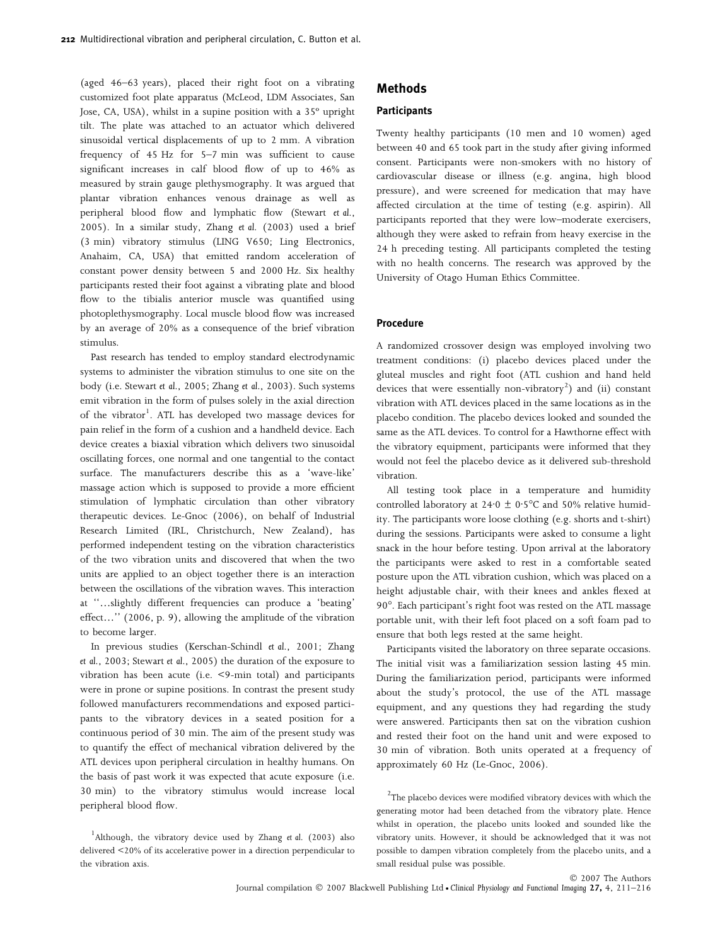(aged 46–63 years), placed their right foot on a vibrating customized foot plate apparatus (McLeod, LDM Associates, San Jose, CA, USA), whilst in a supine position with a 35º upright tilt. The plate was attached to an actuator which delivered sinusoidal vertical displacements of up to 2 mm. A vibration frequency of 45 Hz for 5–7 min was sufficient to cause significant increases in calf blood flow of up to 46% as measured by strain gauge plethysmography. It was argued that plantar vibration enhances venous drainage as well as peripheral blood flow and lymphatic flow (Stewart et al., 2005). In a similar study, Zhang et al. (2003) used a brief (3 min) vibratory stimulus (LING V650; Ling Electronics, Anahaim, CA, USA) that emitted random acceleration of constant power density between 5 and 2000 Hz. Six healthy participants rested their foot against a vibrating plate and blood flow to the tibialis anterior muscle was quantified using photoplethysmography. Local muscle blood flow was increased by an average of 20% as a consequence of the brief vibration stimulus.

Past research has tended to employ standard electrodynamic systems to administer the vibration stimulus to one site on the body (i.e. Stewart et al., 2005; Zhang et al., 2003). Such systems emit vibration in the form of pulses solely in the axial direction of the vibrator<sup>1</sup>. ATL has developed two massage devices for pain relief in the form of a cushion and a handheld device. Each device creates a biaxial vibration which delivers two sinusoidal oscillating forces, one normal and one tangential to the contact surface. The manufacturers describe this as a 'wave-like' massage action which is supposed to provide a more efficient stimulation of lymphatic circulation than other vibratory therapeutic devices. Le-Gnoc (2006), on behalf of Industrial Research Limited (IRL, Christchurch, New Zealand), has performed independent testing on the vibration characteristics of the two vibration units and discovered that when the two units are applied to an object together there is an interaction between the oscillations of the vibration waves. This interaction at ''…slightly different frequencies can produce a 'beating' effect…'' (2006, p. 9), allowing the amplitude of the vibration to become larger.

In previous studies (Kerschan-Schindl et al., 2001; Zhang et al., 2003; Stewart et al., 2005) the duration of the exposure to vibration has been acute (i.e. <9-min total) and participants were in prone or supine positions. In contrast the present study followed manufacturers recommendations and exposed participants to the vibratory devices in a seated position for a continuous period of 30 min. The aim of the present study was to quantify the effect of mechanical vibration delivered by the ATL devices upon peripheral circulation in healthy humans. On the basis of past work it was expected that acute exposure (i.e. 30 min) to the vibratory stimulus would increase local peripheral blood flow.

<sup>1</sup>Although, the vibratory device used by Zhang et al. (2003) also delivered <20% of its accelerative power in a direction perpendicular to the vibration axis.

### Methods

#### **Participants**

Twenty healthy participants (10 men and 10 women) aged between 40 and 65 took part in the study after giving informed consent. Participants were non-smokers with no history of cardiovascular disease or illness (e.g. angina, high blood pressure), and were screened for medication that may have affected circulation at the time of testing (e.g. aspirin). All participants reported that they were low–moderate exercisers, although they were asked to refrain from heavy exercise in the 24 h preceding testing. All participants completed the testing with no health concerns. The research was approved by the University of Otago Human Ethics Committee.

#### Procedure

A randomized crossover design was employed involving two treatment conditions: (i) placebo devices placed under the gluteal muscles and right foot (ATL cushion and hand held devices that were essentially non-vibratory<sup>2</sup>) and (ii) constant vibration with ATL devices placed in the same locations as in the placebo condition. The placebo devices looked and sounded the same as the ATL devices. To control for a Hawthorne effect with the vibratory equipment, participants were informed that they would not feel the placebo device as it delivered sub-threshold vibration.

All testing took place in a temperature and humidity controlled laboratory at  $24.0 \pm 0.5^{\circ}$ C and 50% relative humidity. The participants wore loose clothing (e.g. shorts and t-shirt) during the sessions. Participants were asked to consume a light snack in the hour before testing. Upon arrival at the laboratory the participants were asked to rest in a comfortable seated posture upon the ATL vibration cushion, which was placed on a height adjustable chair, with their knees and ankles flexed at 90. Each participant's right foot was rested on the ATL massage portable unit, with their left foot placed on a soft foam pad to ensure that both legs rested at the same height.

Participants visited the laboratory on three separate occasions. The initial visit was a familiarization session lasting 45 min. During the familiarization period, participants were informed about the study's protocol, the use of the ATL massage equipment, and any questions they had regarding the study were answered. Participants then sat on the vibration cushion and rested their foot on the hand unit and were exposed to 30 min of vibration. Both units operated at a frequency of approximately 60 Hz (Le-Gnoc, 2006).

<sup>2</sup>The placebo devices were modified vibratory devices with which the generating motor had been detached from the vibratory plate. Hence whilst in operation, the placebo units looked and sounded like the vibratory units. However, it should be acknowledged that it was not possible to dampen vibration completely from the placebo units, and a small residual pulse was possible.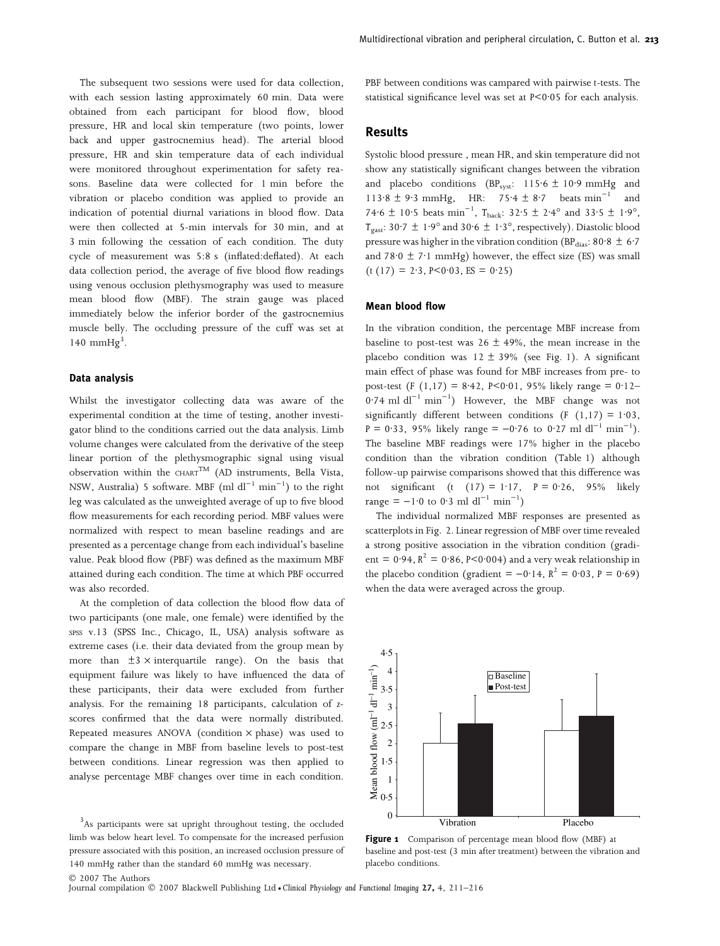The subsequent two sessions were used for data collection, with each session lasting approximately 60 min. Data were obtained from each participant for blood flow, blood pressure, HR and local skin temperature (two points, lower back and upper gastrocnemius head). The arterial blood pressure, HR and skin temperature data of each individual were monitored throughout experimentation for safety reasons. Baseline data were collected for 1 min before the vibration or placebo condition was applied to provide an indication of potential diurnal variations in blood flow. Data were then collected at 5-min intervals for 30 min, and at 3 min following the cessation of each condition. The duty cycle of measurement was 5:8 s (inflated:deflated). At each data collection period, the average of five blood flow readings using venous occlusion plethysmography was used to measure mean blood flow (MBF). The strain gauge was placed immediately below the inferior border of the gastrocnemius muscle belly. The occluding pressure of the cuff was set at  $140 \text{ mmHg}^3$ .

#### Data analysis

Whilst the investigator collecting data was aware of the experimental condition at the time of testing, another investigator blind to the conditions carried out the data analysis. Limb volume changes were calculated from the derivative of the steep linear portion of the plethysmographic signal using visual observation within the  $CHART^{TM}$  (AD instruments, Bella Vista, NSW, Australia) 5 software. MBF  $(\mathrm{ml\; dl^{-1}\; min^{-1}})$  to the right leg was calculated as the unweighted average of up to five blood flow measurements for each recording period. MBF values were normalized with respect to mean baseline readings and are presented as a percentage change from each individual's baseline value. Peak blood flow (PBF) was defined as the maximum MBF attained during each condition. The time at which PBF occurred was also recorded.

At the completion of data collection the blood flow data of two participants (one male, one female) were identified by the SPSS v.13 (SPSS Inc., Chicago, IL, USA) analysis software as extreme cases (i.e. their data deviated from the group mean by more than  $\pm 3 \times$  interquartile range). On the basis that equipment failure was likely to have influenced the data of these participants, their data were excluded from further analysis. For the remaining 18 participants, calculation of zscores confirmed that the data were normally distributed. Repeated measures ANOVA (condition  $\times$  phase) was used to compare the change in MBF from baseline levels to post-test between conditions. Linear regression was then applied to analyse percentage MBF changes over time in each condition.

PBF between conditions was campared with pairwise t-tests. The statistical significance level was set at P<0.05 for each analysis.

## Results

Systolic blood pressure , mean HR, and skin temperature did not show any statistically significant changes between the vibration and placebo conditions (BP<sub>syst</sub>: 115.6  $\pm$  10.9 mmHg and 113 $\cdot$ 8 ± 9 $\cdot$ 3 mmHg, HR: 75 $\cdot$ 4 ± 8 $\cdot$ 7 beats min<sup>-1</sup> and 74.6  $\pm$  10.5 beats min<sup>-1</sup>, T<sub>back</sub>: 32.5  $\pm$  2.4° and 33.5  $\pm$  1.9°, T<sub>gast</sub>: 30.7  $\pm$  1.9° and 30.6  $\pm$  1.3°, respectively). Diastolic blood pressure was higher in the vibration condition (BP $_{\rm diag}$ : 80 $\cdot$ 8  $\pm$  6 $\cdot$ 7 and 78 $\cdot$ 0  $\pm$  7 $\cdot$ 1 mmHg) however, the effect size (ES) was small  $(t (17) = 2.3, P < 0.03, ES = 0.25)$ 

#### Mean blood flow

In the vibration condition, the percentage MBF increase from baseline to post-test was  $26 \pm 49\%$ , the mean increase in the placebo condition was  $12 \pm 39\%$  (see Fig. 1). A significant main effect of phase was found for MBF increases from pre- to post-test (F  $(1,17) = 8.42$ , P<0.01, 95% likely range = 0.12–  $0.74$  ml dl<sup>-1</sup> min<sup>-1</sup>) However, the MBF change was not significantly different between conditions (F  $(1,17) = 1.03$ ,  $P = 0.33$ , 95% likely range = -0.76 to 0.27 ml dl<sup>-1</sup> min<sup>-1</sup>). The baseline MBF readings were 17% higher in the placebo condition than the vibration condition (Table 1) although follow-up pairwise comparisons showed that this difference was not significant (t  $(17) = 1.17$ ,  $P = 0.26$ , 95% likely range =  $-1.0$  to 0.3 ml  $dl^{-1}$  min<sup>-1</sup>)

The individual normalized MBF responses are presented as scatterplots in Fig. 2. Linear regression of MBF over time revealed a strong positive association in the vibration condition (gradient = 0.94,  $R^2 = 0.86$ , P<0.004) and a very weak relationship in the placebo condition (gradient =  $-0.14$ ,  $R^2 = 0.03$ , P = 0.69) when the data were averaged across the group.



Figure 1 Comparison of percentage mean blood flow (MBF) at baseline and post-test (3 min after treatment) between the vibration and placebo conditions.

<sup>3</sup> As participants were sat upright throughout testing, the occluded limb was below heart level. To compensate for the increased perfusion pressure associated with this position, an increased occlusion pressure of 140 mmHg rather than the standard 60 mmHg was necessary.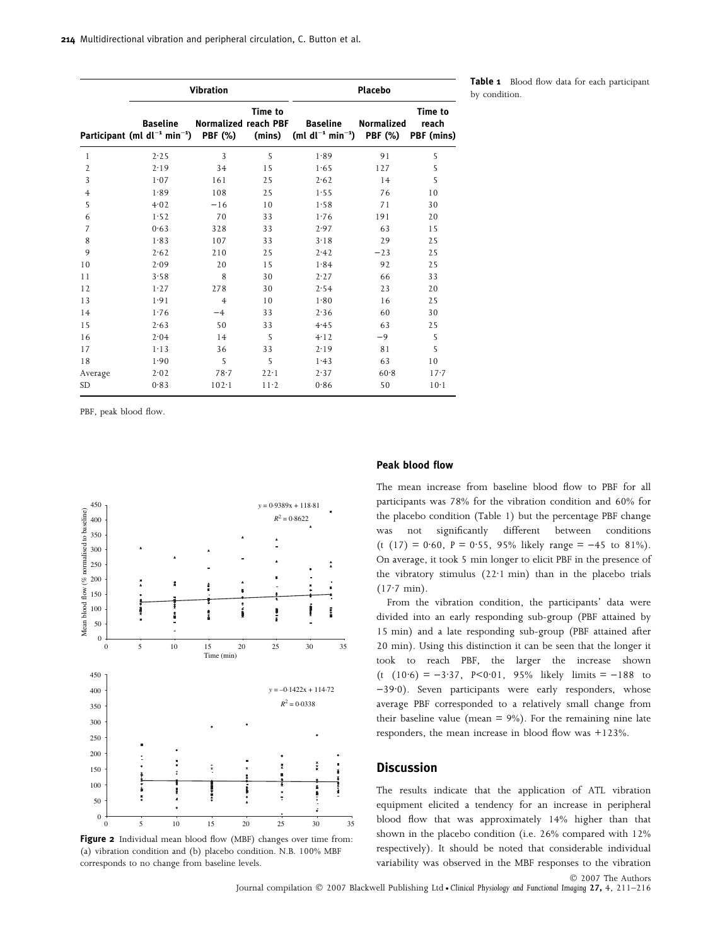|                | <b>Vibration</b>                                                 |                                               |                          | <b>Placebo</b>                              |                                     |                                       |
|----------------|------------------------------------------------------------------|-----------------------------------------------|--------------------------|---------------------------------------------|-------------------------------------|---------------------------------------|
|                | <b>Baseline</b><br>Participant (ml $dl^{-1}$ min <sup>-1</sup> ) | <b>Normalized reach PBF</b><br><b>PBF</b> (%) | <b>Time to</b><br>(mins) | <b>Baseline</b><br>$(ml d l^{-1} min^{-1})$ | <b>Normalized</b><br><b>PBF</b> (%) | <b>Time to</b><br>reach<br>PBF (mins) |
| 1              | 2.25                                                             | 3                                             | 5                        | 1.89                                        | 91                                  | 5                                     |
| $\overline{2}$ | 2.19                                                             | 34                                            | 15                       | 1.65                                        | 127                                 | 5                                     |
| 3              | 1.07                                                             | 161                                           | 25                       | 2.62                                        | 14                                  | 5                                     |
| $\overline{4}$ | 1.89                                                             | 108                                           | 25                       | 1.55                                        | 76                                  | 10                                    |
| 5              | 4.02                                                             | $-16$                                         | 10                       | 1.58                                        | 71                                  | 30                                    |
| 6              | 1.52                                                             | 70                                            | 33                       | 1.76                                        | 191                                 | 20                                    |
| 7              | 0.63                                                             | 328                                           | 33                       | 2.97                                        | 63                                  | 15                                    |
| 8              | 1.83                                                             | 107                                           | 33                       | 3.18                                        | 29                                  | 25                                    |
| 9              | 2.62                                                             | 210                                           | 25                       | 2.42                                        | $-23$                               | 25                                    |
| 10             | 2.09                                                             | 20                                            | 15                       | 1.84                                        | 92                                  | 25                                    |
| 11             | 3.58                                                             | 8                                             | 30                       | 2.27                                        | 66                                  | 33                                    |
| 12             | 1.27                                                             | 278                                           | 30                       | 2.54                                        | 23                                  | 20                                    |
| 13             | 1.91                                                             | $\overline{4}$                                | 10                       | 1.80                                        | 16                                  | 25                                    |
| 14             | 1.76                                                             | $-4$                                          | 33                       | 2.36                                        | 60                                  | 30                                    |
| 15             | 2.63                                                             | 50                                            | 33                       | 4.45                                        | 63                                  | 25                                    |
| 16             | 2.04                                                             | 14                                            | 5                        | 4.12                                        | -9                                  | 5                                     |
| 17             | $1 - 13$                                                         | 36                                            | 33                       | 2.19                                        | 81                                  | 5                                     |
| 18             | 1.90                                                             | 5                                             | 5                        | 1.43                                        | 63                                  | 10                                    |
| Average        | 2.02                                                             | 78.7                                          | $22 \cdot 1$             | 2.37                                        | 60.8                                | $17 - 7$                              |
| <b>SD</b>      | 0.83                                                             | 102.1                                         | $11-2$                   | 0.86                                        | 50                                  | 10.1                                  |

PBF, peak blood flow.



Figure 2 Individual mean blood flow (MBF) changes over time from: (a) vibration condition and (b) placebo condition. N.B. 100% MBF corresponds to no change from baseline levels.

# Peak blood flow

The mean increase from baseline blood flow to PBF for all participants was 78% for the vibration condition and 60% for the placebo condition (Table 1) but the percentage PBF change was not significantly different between conditions  $(t (17) = 0.60, P = 0.55, 95\%$  likely range = -45 to 81%). On average, it took 5 min longer to elicit PBF in the presence of the vibratory stimulus  $(22.1 \text{ min})$  than in the placebo trials  $(17.7 \text{ min}).$ 

From the vibration condition, the participants' data were divided into an early responding sub-group (PBF attained by 15 min) and a late responding sub-group (PBF attained after 20 min). Using this distinction it can be seen that the longer it took to reach PBF, the larger the increase shown (t  $(10.6) = -3.37$ , P<0.01, 95% likely limits = -188 to -39.0). Seven participants were early responders, whose average PBF corresponded to a relatively small change from their baseline value (mean  $= 9\%$ ). For the remaining nine late responders, the mean increase in blood flow was +123%.

# **Discussion**

The results indicate that the application of ATL vibration equipment elicited a tendency for an increase in peripheral blood flow that was approximately 14% higher than that shown in the placebo condition (i.e. 26% compared with 12% respectively). It should be noted that considerable individual variability was observed in the MBF responses to the vibration

© 2007 The Authors Journal compilation © 2007 Blackwell Publishing Ltd • Clinical Physiology and Functional Imaging 27, 4, 211–216

Table 1 Blood flow data for each participant by condition.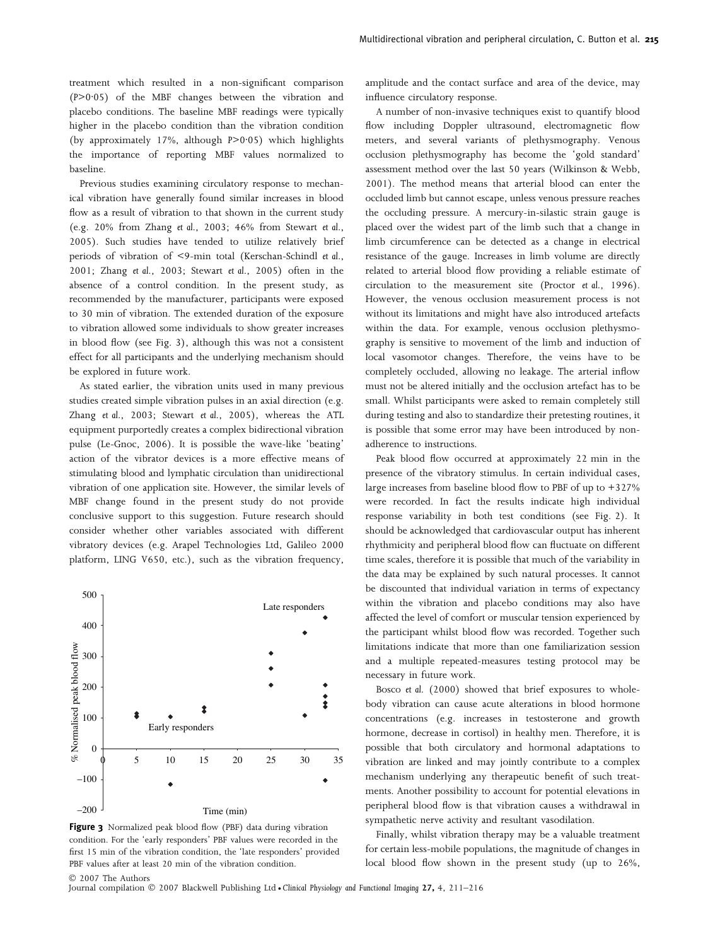treatment which resulted in a non-significant comparison  $(P>0.05)$  of the MBF changes between the vibration and placebo conditions. The baseline MBF readings were typically higher in the placebo condition than the vibration condition (by approximately 17%, although  $P>0.05$ ) which highlights the importance of reporting MBF values normalized to baseline.

Previous studies examining circulatory response to mechanical vibration have generally found similar increases in blood flow as a result of vibration to that shown in the current study (e.g. 20% from Zhang et al., 2003; 46% from Stewart et al., 2005). Such studies have tended to utilize relatively brief periods of vibration of <9-min total (Kerschan-Schindl et al., 2001; Zhang et al., 2003; Stewart et al., 2005) often in the absence of a control condition. In the present study, as recommended by the manufacturer, participants were exposed to 30 min of vibration. The extended duration of the exposure to vibration allowed some individuals to show greater increases in blood flow (see Fig. 3), although this was not a consistent effect for all participants and the underlying mechanism should be explored in future work.

As stated earlier, the vibration units used in many previous studies created simple vibration pulses in an axial direction (e.g. Zhang et al., 2003; Stewart et al., 2005), whereas the ATL equipment purportedly creates a complex bidirectional vibration pulse (Le-Gnoc, 2006). It is possible the wave-like 'beating' action of the vibrator devices is a more effective means of stimulating blood and lymphatic circulation than unidirectional vibration of one application site. However, the similar levels of MBF change found in the present study do not provide conclusive support to this suggestion. Future research should consider whether other variables associated with different vibratory devices (e.g. Arapel Technologies Ltd, Galileo 2000 platform, LING V650, etc.), such as the vibration frequency,



Figure 3 Normalized peak blood flow (PBF) data during vibration condition. For the 'early responders' PBF values were recorded in the first 15 min of the vibration condition, the 'late responders' provided PBF values after at least 20 min of the vibration condition.

amplitude and the contact surface and area of the device, may influence circulatory response.

A number of non-invasive techniques exist to quantify blood flow including Doppler ultrasound, electromagnetic flow meters, and several variants of plethysmography. Venous occlusion plethysmography has become the 'gold standard' assessment method over the last 50 years (Wilkinson & Webb, 2001). The method means that arterial blood can enter the occluded limb but cannot escape, unless venous pressure reaches the occluding pressure. A mercury-in-silastic strain gauge is placed over the widest part of the limb such that a change in limb circumference can be detected as a change in electrical resistance of the gauge. Increases in limb volume are directly related to arterial blood flow providing a reliable estimate of circulation to the measurement site (Proctor et al., 1996). However, the venous occlusion measurement process is not without its limitations and might have also introduced artefacts within the data. For example, venous occlusion plethysmography is sensitive to movement of the limb and induction of local vasomotor changes. Therefore, the veins have to be completely occluded, allowing no leakage. The arterial inflow must not be altered initially and the occlusion artefact has to be small. Whilst participants were asked to remain completely still during testing and also to standardize their pretesting routines, it is possible that some error may have been introduced by nonadherence to instructions.

Peak blood flow occurred at approximately 22 min in the presence of the vibratory stimulus. In certain individual cases, large increases from baseline blood flow to PBF of up to +327% were recorded. In fact the results indicate high individual response variability in both test conditions (see Fig. 2). It should be acknowledged that cardiovascular output has inherent rhythmicity and peripheral blood flow can fluctuate on different time scales, therefore it is possible that much of the variability in the data may be explained by such natural processes. It cannot be discounted that individual variation in terms of expectancy within the vibration and placebo conditions may also have affected the level of comfort or muscular tension experienced by the participant whilst blood flow was recorded. Together such limitations indicate that more than one familiarization session and a multiple repeated-measures testing protocol may be necessary in future work.

Bosco et al. (2000) showed that brief exposures to wholebody vibration can cause acute alterations in blood hormone concentrations (e.g. increases in testosterone and growth hormone, decrease in cortisol) in healthy men. Therefore, it is possible that both circulatory and hormonal adaptations to vibration are linked and may jointly contribute to a complex mechanism underlying any therapeutic benefit of such treatments. Another possibility to account for potential elevations in peripheral blood flow is that vibration causes a withdrawal in sympathetic nerve activity and resultant vasodilation.

Finally, whilst vibration therapy may be a valuable treatment for certain less-mobile populations, the magnitude of changes in local blood flow shown in the present study (up to 26%,

- 2007 The Authors

Journal compilation © 2007 Blackwell Publishing Ltd • Clinical Physiology and Functional Imaging 27, 4, 211–216